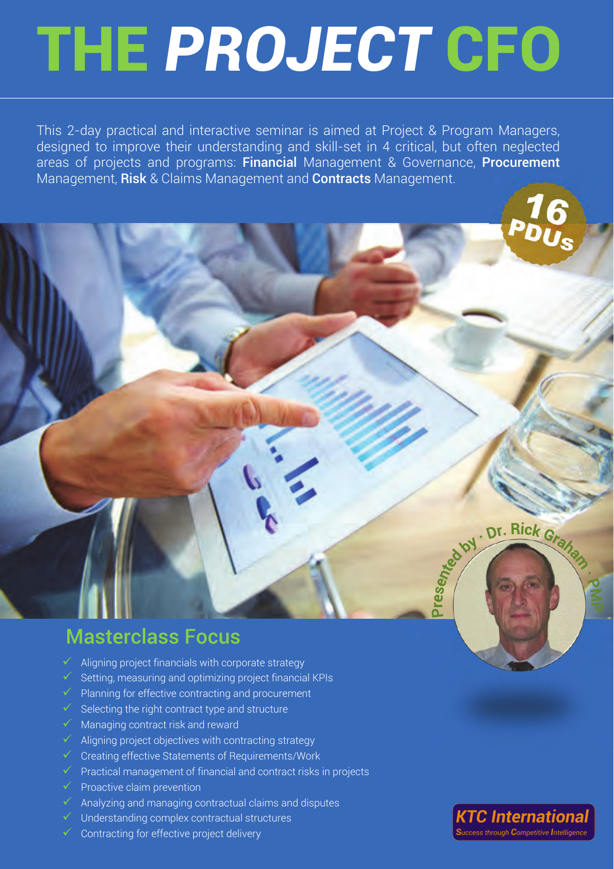This 2-day practical and interactive seminar is aimed at Project & Program Managers, designed to improve their understanding and skill-set in 4 critical, but often neglected areas of projects and programs: Financial Management & Governance, Procurement Management, Risk & Claims Management and Contracts Management.

Dr. Rick Graha

Presenter 21

## Masterclass Focus

- Aligning project financials with corporate strategy
- Setting, measuring and optimizing project financial KPIs
- Planning for effective contracting and procurement
- $\checkmark$  Selecting the right contract type and structure
- Managing contract risk and reward
- Aligning project objectives with contracting strategy
- $\checkmark$  Creating effective Statements of Requirements/Work
- $\checkmark$  Practical management of financial and contract risks in projects
- Proactive claim prevention
- Analyzing and managing contractual claims and disputes
- Understanding complex contractual structures
- Contracting for effective project delivery

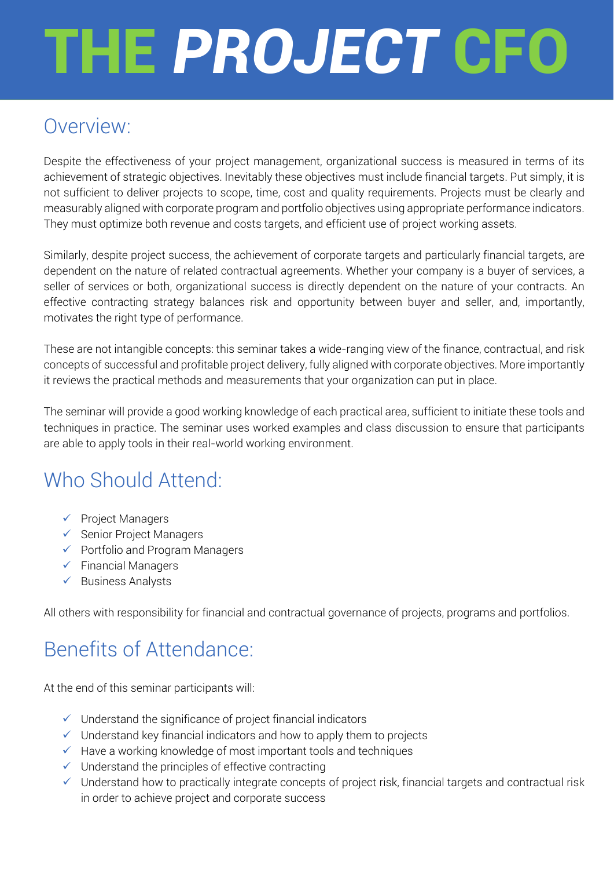## Overview:

Despite the effectiveness of your project management, organizational success is measured in terms of its achievement of strategic objectives. Inevitably these objectives must include financial targets. Put simply, it is not sufficient to deliver projects to scope, time, cost and quality requirements. Projects must be clearly and measurably aligned with corporate program and portfolio objectives using appropriate performance indicators. They must optimize both revenue and costs targets, and efficient use of project working assets.

Similarly, despite project success, the achievement of corporate targets and particularly financial targets, are dependent on the nature of related contractual agreements. Whether your company is a buyer of services, a seller of services or both, organizational success is directly dependent on the nature of your contracts. An effective contracting strategy balances risk and opportunity between buyer and seller, and, importantly, motivates the right type of performance.

These are not intangible concepts: this seminar takes a wide-ranging view of the finance, contractual, and risk concepts of successful and profitable project delivery, fully aligned with corporate objectives. More importantly it reviews the practical methods and measurements that your organization can put in place.

The seminar will provide a good working knowledge of each practical area, sufficient to initiate these tools and techniques in practice. The seminar uses worked examples and class discussion to ensure that participants are able to apply tools in their real-world working environment.

## Who Should Attend:

- $\checkmark$  Project Managers
- $\checkmark$  Senior Project Managers
- $\checkmark$  Portfolio and Program Managers
- $\checkmark$  Financial Managers
- $\checkmark$  Business Analysts

All others with responsibility for financial and contractual governance of projects, programs and portfolios.

## Benefits of Attendance:

At the end of this seminar participants will:

- $\checkmark$  Understand the significance of project financial indicators
- $\checkmark$  Understand key financial indicators and how to apply them to projects
- $\checkmark$  Have a working knowledge of most important tools and techniques
- $\checkmark$  Understand the principles of effective contracting
- $\checkmark$  Understand how to practically integrate concepts of project risk, financial targets and contractual risk in order to achieve project and corporate success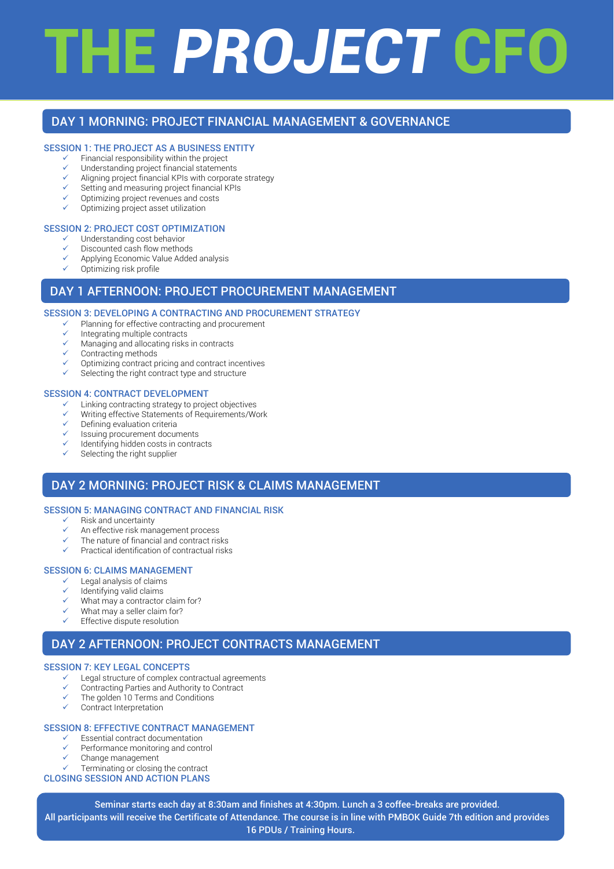### DAY 1 MORNING: PROJECT FINANCIAL MANAGEMENT & GOVERNANCE

#### SESSION 1: THE PROJECT AS A BUSINESS ENTITY

- Financial responsibility within the project
- $\checkmark$  Understanding project financial statements<br> $\checkmark$  Aligning project financial KPIs with corporation
- Aligning project financial KPIs with corporate strategy
- Setting and measuring project financial KPIs
- Optimizing project revenues and costs
- Optimizing project asset utilization

#### SESSION 2: PROJECT COST OPTIMIZATION

- Understanding cost behavior
- Discounted cash flow methods
- Applying Economic Value Added analysis
- Optimizing risk profile

#### DAY 1 AFTERNOON: PROJECT PROCUREMENT MANAGEMENT

#### SESSION 3: DEVELOPING A CONTRACTING AND PROCUREMENT STRATEGY

- Planning for effective contracting and procurement
- $\checkmark$  Integrating multiple contracts
- Managing and allocating risks in contracts
- Contracting methods
- Optimizing contract pricing and contract incentives
- Selecting the right contract type and structure

#### SESSION 4: CONTRACT DEVELOPMENT

- Linking contracting strategy to project objectives
- $\checkmark$  Writing effective Statements of Requirements/Work
- Defining evaluation criteria
- Issuing procurement documents
- Identifying hidden costs in contracts
- Selecting the right supplier

### DAY 2 MORNING: PROJECT RISK & CLAIMS MANAGEMENT

#### SESSION 5: MANAGING CONTRACT AND FINANCIAL RISK

- $\checkmark$  Risk and uncertainty
- An effective risk management process
- The nature of financial and contract risks
- Practical identification of contractual risks

#### SESSION 6: CLAIMS MANAGEMENT

- $\checkmark$  Legal analysis of claims<br> $\checkmark$  Identifying valid claims
- Identifying valid claims
- $\checkmark$  What may a contractor claim for?
- What may a seller claim for?
- Effective dispute resolution

### DAY 2 AFTERNOON: PROJECT CONTRACTS MANAGEMENT

#### SESSION 7: KEY LEGAL CONCEPTS

- $\checkmark$  Legal structure of complex contractual agreements
- Contracting Parties and Authority to Contract
- The golden 10 Terms and Conditions
- Contract Interpretation

#### SESSION 8: EFFECTIVE CONTRACT MANAGEMENT

- Essential contract documentation
- Performance monitoring and control
- $\checkmark$  Change management
- Terminating or closing the contract CLOSING SESSION AND ACTION PLANS

### Seminar starts each day at 8:30am and finishes at 4:30pm. Lunch a 3 coffee-breaks are provided. All participants will receive the Certificate of Attendance. The course is in line with PMBOK Guide 7th edition and provides 16 PDUs / Training Hours.